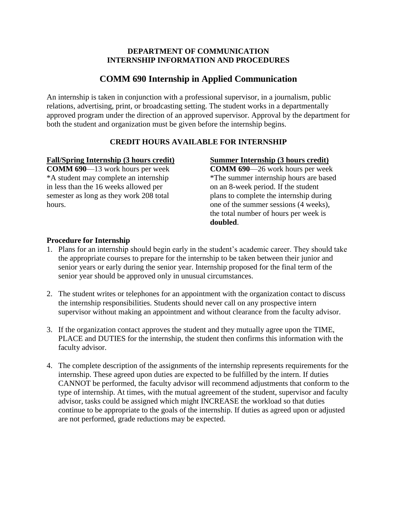### **DEPARTMENT OF COMMUNICATION INTERNSHIP INFORMATION AND PROCEDURES**

# **COMM 690 Internship in Applied Communication**

An internship is taken in conjunction with a professional supervisor, in a journalism, public relations, advertising, print, or broadcasting setting. The student works in a departmentally approved program under the direction of an approved supervisor. Approval by the department for both the student and organization must be given before the internship begins.

## **CREDIT HOURS AVAILABLE FOR INTERNSHIP**

## **Fall/Spring Internship (3 hours credit)**

**COMM 690**—13 work hours per week \*A student may complete an internship in less than the 16 weeks allowed per semester as long as they work 208 total hours.

## **Summer Internship (3 hours credit)**

**COMM 690**—26 work hours per week \*The summer internship hours are based on an 8-week period. If the student plans to complete the internship during one of the summer sessions (4 weeks), the total number of hours per week is **doubled**.

## **Procedure for Internship**

- 1. Plans for an internship should begin early in the student's academic career. They should take the appropriate courses to prepare for the internship to be taken between their junior and senior years or early during the senior year. Internship proposed for the final term of the senior year should be approved only in unusual circumstances.
- 2. The student writes or telephones for an appointment with the organization contact to discuss the internship responsibilities. Students should never call on any prospective intern supervisor without making an appointment and without clearance from the faculty advisor.
- 3. If the organization contact approves the student and they mutually agree upon the TIME, PLACE and DUTIES for the internship, the student then confirms this information with the faculty advisor.
- 4. The complete description of the assignments of the internship represents requirements for the internship. These agreed upon duties are expected to be fulfilled by the intern. If duties CANNOT be performed, the faculty advisor will recommend adjustments that conform to the type of internship. At times, with the mutual agreement of the student, supervisor and faculty advisor, tasks could be assigned which might INCREASE the workload so that duties continue to be appropriate to the goals of the internship. If duties as agreed upon or adjusted are not performed, grade reductions may be expected.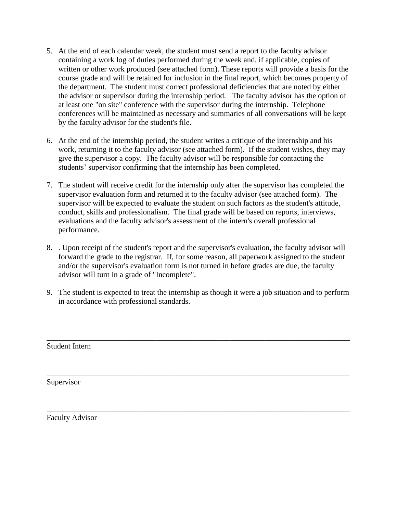- 5. At the end of each calendar week, the student must send a report to the faculty advisor containing a work log of duties performed during the week and, if applicable, copies of written or other work produced (see attached form). These reports will provide a basis for the course grade and will be retained for inclusion in the final report, which becomes property of the department. The student must correct professional deficiencies that are noted by either the advisor or supervisor during the internship period. The faculty advisor has the option of at least one "on site" conference with the supervisor during the internship. Telephone conferences will be maintained as necessary and summaries of all conversations will be kept by the faculty advisor for the student's file.
- 6. At the end of the internship period, the student writes a critique of the internship and his work, returning it to the faculty advisor (see attached form). If the student wishes, they may give the supervisor a copy. The faculty advisor will be responsible for contacting the students' supervisor confirming that the internship has been completed.
- 7. The student will receive credit for the internship only after the supervisor has completed the supervisor evaluation form and returned it to the faculty advisor (see attached form). The supervisor will be expected to evaluate the student on such factors as the student's attitude, conduct, skills and professionalism. The final grade will be based on reports, interviews, evaluations and the faculty advisor's assessment of the intern's overall professional performance.
- 8. . Upon receipt of the student's report and the supervisor's evaluation, the faculty advisor will forward the grade to the registrar. If, for some reason, all paperwork assigned to the student and/or the supervisor's evaluation form is not turned in before grades are due, the faculty advisor will turn in a grade of "Incomplete".
- 9. The student is expected to treat the internship as though it were a job situation and to perform in accordance with professional standards.

\_\_\_\_\_\_\_\_\_\_\_\_\_\_\_\_\_\_\_\_\_\_\_\_\_\_\_\_\_\_\_\_\_\_\_\_\_\_\_\_\_\_\_\_\_\_\_\_\_\_\_\_\_\_\_\_\_\_\_\_\_\_\_\_\_\_\_\_\_\_\_\_\_\_\_\_\_\_

\_\_\_\_\_\_\_\_\_\_\_\_\_\_\_\_\_\_\_\_\_\_\_\_\_\_\_\_\_\_\_\_\_\_\_\_\_\_\_\_\_\_\_\_\_\_\_\_\_\_\_\_\_\_\_\_\_\_\_\_\_\_\_\_\_\_\_\_\_\_\_\_\_\_\_\_\_\_

\_\_\_\_\_\_\_\_\_\_\_\_\_\_\_\_\_\_\_\_\_\_\_\_\_\_\_\_\_\_\_\_\_\_\_\_\_\_\_\_\_\_\_\_\_\_\_\_\_\_\_\_\_\_\_\_\_\_\_\_\_\_\_\_\_\_\_\_\_\_\_\_\_\_\_\_\_\_

Student Intern

Supervisor

Faculty Advisor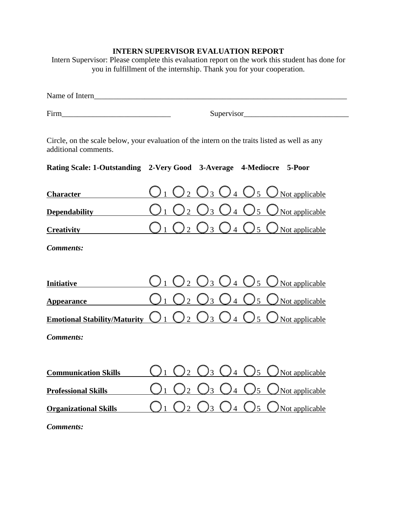## **INTERN SUPERVISOR EVALUATION REPORT**

Intern Supervisor: Please complete this evaluation report on the work this student has done for you in fulfillment of the internship. Thank you for your cooperation.

| Name of Intern                                                                                                                                                                                                                 |  |                                            |                                  |  |  |  |  |
|--------------------------------------------------------------------------------------------------------------------------------------------------------------------------------------------------------------------------------|--|--------------------------------------------|----------------------------------|--|--|--|--|
| Firm Fig. 2. The contract of the contract of the contract of the contract of the contract of the contract of the contract of the contract of the contract of the contract of the contract of the contract of the contract of t |  | Supervisor                                 |                                  |  |  |  |  |
| Circle, on the scale below, your evaluation of the intern on the traits listed as well as any<br>additional comments.<br>Rating Scale: 1-Outstanding 2-Very Good 3-Average 4-Mediocre 5-Poor                                   |  |                                            |                                  |  |  |  |  |
| <b>Character</b>                                                                                                                                                                                                               |  | 3<br>$\overline{4}$                        | $\mathfrak{H}$<br>Not applicable |  |  |  |  |
| <b>Dependability</b>                                                                                                                                                                                                           |  | $\overline{4}$                             | $\overline{5}$<br>Not applicable |  |  |  |  |
| <b>Creativity</b>                                                                                                                                                                                                              |  | $\overline{\mathcal{E}}$<br>$\overline{4}$ | $\sqrt{5}$<br>Not applicable     |  |  |  |  |
| <b>Comments:</b>                                                                                                                                                                                                               |  |                                            |                                  |  |  |  |  |
|                                                                                                                                                                                                                                |  |                                            |                                  |  |  |  |  |
| <b>Initiative</b>                                                                                                                                                                                                              |  | $\frac{1}{3}$<br>$\frac{1}{4}$             | $\sqrt{5}$<br>Not applicable     |  |  |  |  |
| <b>Appearance</b>                                                                                                                                                                                                              |  |                                            | Not applicable<br>5              |  |  |  |  |
| <b>Emotional Stability/Maturity</b>                                                                                                                                                                                            |  | 3<br>$\overline{4}$                        | $\overline{5}$<br>Not applicable |  |  |  |  |
| <b>Comments:</b>                                                                                                                                                                                                               |  |                                            |                                  |  |  |  |  |
|                                                                                                                                                                                                                                |  |                                            |                                  |  |  |  |  |
| <b>Communication Skills</b>                                                                                                                                                                                                    |  |                                            | 5<br>Not applicable              |  |  |  |  |
| <b>Professional Skills</b>                                                                                                                                                                                                     |  |                                            | Not applicable                   |  |  |  |  |
| <b>Organizational Skills</b>                                                                                                                                                                                                   |  | $3 \left( \right)$<br>$\frac{1}{4}$        | $\frac{1}{5}$<br>Not applicable  |  |  |  |  |
| <b>Comments:</b>                                                                                                                                                                                                               |  |                                            |                                  |  |  |  |  |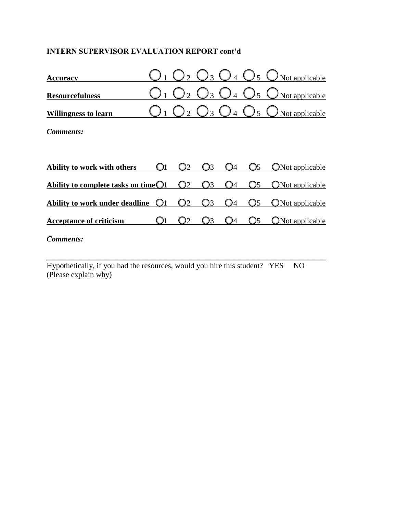## **INTERN SUPERVISOR EVALUATION REPORT cont'd**

| <b>Accuracy</b>                                |    |    |    |    | Not applicable         |
|------------------------------------------------|----|----|----|----|------------------------|
| <b>Resourcefulness</b>                         |    |    |    |    | Not applicable         |
| <b>Willingness to learn</b>                    |    |    |    |    | Not applicable         |
| Comments:                                      |    |    |    |    |                        |
|                                                |    |    |    |    |                        |
| Ability to work with others                    | )2 |    |    |    | Not applicable         |
| Ability to complete tasks on time $\bigcirc$ 1 | )2 |    | 14 | O5 | ONot applicable        |
| <b>Ability to work under deadline</b>          | O2 | 13 | Э4 | O5 | <b>ONot applicable</b> |
| <b>Acceptance of criticism</b>                 | )2 | 13 | 14 | O5 | ONot applicable        |
| Comments:                                      |    |    |    |    |                        |

Hypothetically, if you had the resources, would you hire this student? YES NO (Please explain why)

*\_\_\_\_\_\_\_\_\_\_\_\_\_\_\_\_\_\_\_\_\_\_\_\_\_\_\_\_\_\_\_\_\_\_\_\_\_\_\_\_\_\_\_\_\_\_\_\_\_\_\_\_\_\_\_\_\_\_\_\_\_\_\_\_\_\_\_\_\_\_\_\_*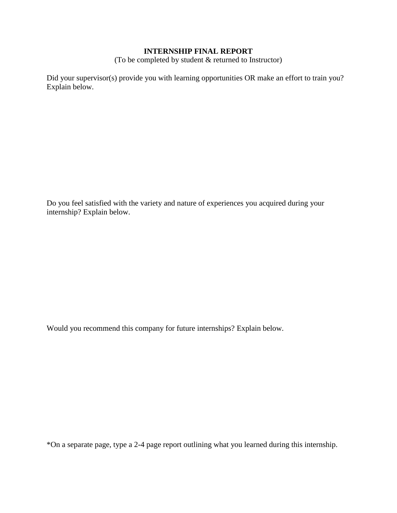### **INTERNSHIP FINAL REPORT**

(To be completed by student & returned to Instructor)

Did your supervisor(s) provide you with learning opportunities OR make an effort to train you? Explain below.

Do you feel satisfied with the variety and nature of experiences you acquired during your internship? Explain below.

Would you recommend this company for future internships? Explain below.

\*On a separate page, type a 2-4 page report outlining what you learned during this internship.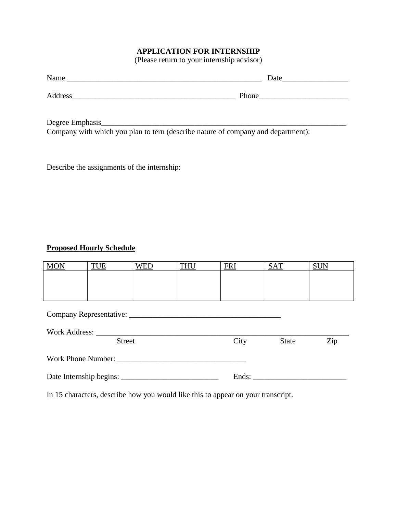## **APPLICATION FOR INTERNSHIP**

(Please return to your internship advisor)

| Name    | Date  |
|---------|-------|
| Address | Phone |

Degree Emphasis\_\_\_\_\_\_\_\_\_\_\_\_\_\_\_\_\_\_\_\_\_\_\_\_\_\_\_\_\_\_\_\_\_\_\_\_\_\_\_\_\_\_\_\_\_\_\_\_\_\_\_\_\_\_\_\_\_\_\_\_\_\_\_ Company with which you plan to tern (describe nature of company and department):

Describe the assignments of the internship:

## **Proposed Hourly Schedule**

| <b>MON</b>    | TUE | WED | <b>THU</b> | <b>FRI</b> | <b>SAT</b>   | <b>SUN</b> |  |
|---------------|-----|-----|------------|------------|--------------|------------|--|
|               |     |     |            |            |              |            |  |
|               |     |     |            |            |              |            |  |
|               |     |     |            |            |              |            |  |
|               |     |     |            |            |              |            |  |
|               |     |     |            |            |              |            |  |
|               |     |     |            |            |              |            |  |
| Work Address: |     |     |            |            |              |            |  |
| <b>Street</b> |     |     |            | City       | <b>State</b> | Zip        |  |

| <b>Work Phone Number:</b> |
|---------------------------|
|---------------------------|

| Date Internship begins: |  |
|-------------------------|--|
|-------------------------|--|

In 15 characters, describe how you would like this to appear on your transcript.